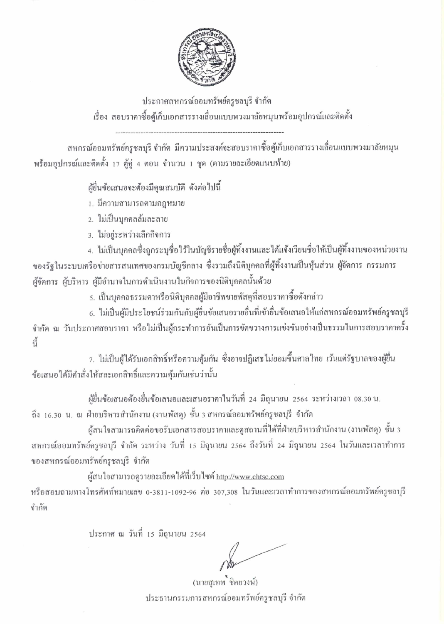

ประกาศสหกรณ์ออมทรัพย์ครูชลบุรี จำกัด เรื่อง สอบราคาซื้อตู้เก็บเอกสารรางเลื่อนแบบพวงมาลัยหมุนพร้อมอุปกรณ์และติดตั้ง

สหกรณ์ออมทรัพย์ครูชลบุรี จำกัด มีความประสงค์จะสอบราคาซื้อตู้เก็บเอกสารรางเลื่อนแบบพวงมาลัยหมุน พร้อมอุปกรณ์และติดตั้ง 17 ตู้คู่ 4 ตอน จำนวน 1 ชุด (ตามรายละเอียดแนบท้าย)

ผ้ยื่นข้อเสนอจะต้องมีคณสมบัติ ดังต่อไปนี้

- 1. มีความสามารถตามกฎหมาย
- 2. ไม่เป็นบุคคลล้มละลาย
- 3. ไม่อยู่ระหว่างเลิกกิจการ

4. ไม่เป็นบุคคลซึ่งถูกระบุชื่อไว้ในบัญชีรายชื่อผู้ทิ้งงานและได้แจ้งเวียนชื่อให้เป็นผู้ทิ้งงานของหน่วยงาน ของรัฐในระบบเครือข่ายสารสนเทศของกรมบัญชีกลาง ซึ่งรวมถึงนิติบุคคลที่ผู้ทิ้งงานเป็นหุ้นส่วน ผู้จัดการ กรรมการ ผู้จัดการ ผู้บริหาร ผู้มีอำนาจในการคำเนินงานในกิจการของนิติบุคกลนั้นด้วย

5. เป็นบุคคลธรรมดาหรือนิติบุคคลผู้มีอาชีพขายพัสดุที่สอบราคาซื้อดังกล่าว

6. ไม่เป็นผู้มีประโยชน์ร่วมกันกับผู้ขึ้นข้อเสนอรายอื่นที่เข้ายื่นข้อเสนอให้แก่สหกรณ์ออมทรัพย์ครูชลบุรี จำกัด ณ วันประกาศสอบรากา หรือไม่เป็นผู้กระทำการอันเป็นการขัดขวางการแข่งขันอย่างเป็นธรรมในการสอบรากากรั้ง  $\tilde{a}$ 

่ 7. ใม่เป็นผู้ได้รับเอกสิทธิ์หรือความคุ้มกัน ซึ่งอาจปฏิเสธไม่ยอมขึ้นศาลไทย เว้นแต่รัฐบาลของผู้ยื่น ข้อเสนอได้มีคำสั่งให้สละเอกสิทธิ์และความคุ้มกันเช่นว่านั้น

ผู้ขึ้นข้อเสนอต้องขึ้นข้อเสนอและเสนอราคาในวันที่ 24 มิถุนายน 2564 ระหว่างเวลา 08.30 น. ถึง 16.30 น. ณ ฝ่ายบริหารสำนักงาน (งานพัสดุ) ชั้น 3 สหกรณ์ออมทรัพย์ครูชลบุรี จำกัด

ผู้สนใจสามารถติดต่อขอรับเอกสารสอบราคาและดูสถานที่ได้ที่ฝ่ายบริหารสำนักงาน (งานพัสดุ) ชั้น 3 ิสหกรณ์ออมทรัพย์ครูชลบุรี จำกัด ระหว่าง วันที่ 15 มิถุนายน 2564 ถึงวันที่ 24 มิถุนายน 2564 ในวันและเวลาทำการ ของสหกรณ์ออมทรัพย์ครุชลบุรี จำกัด

ผู้สนใจสามารถดูรายละเอียดใด้ที่เว็บไซต์ http://www.chtsc.com หรือสอบถามทางโทรศัพท์หมายเลข 0-3811-1092-96 ต่อ 307,308 ในวันและเวลาทำการของสหกรณ์ออมทรัพย์ครูชลบุรี จำกัด

ประกาศ ณ วันที่ 15 มิถุนายน 2564

(นายสุเทพ ชิตยวงษ์) ประธานกรรมการสหกรณ์ออมทรัพย์ครูชลบุรี จำกัด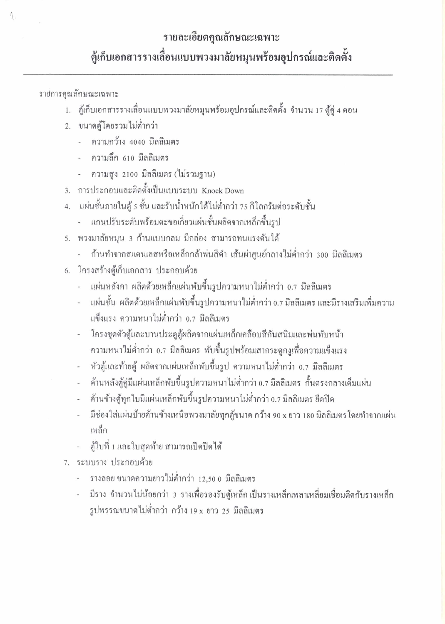## รายละเอียดคุณลักษณะเฉพาะ

## ตู้เก็บเอกสารรางเลื่อนแบบพวงมาลัยหมุนพร้อมอุปกรณ์และติดตั้ง

รายการคณลักษณะเฉพาะ

 $\Lambda$ .

- 1. ตู้เก็บเอกสารรางเลื่อนแบบพวงมาลัยหมุนพร้อมอุปกรณ์และติดตั้ง จำนวน 17 ตู้คู่ 4 ตอน
- 2. ขนาดตู้โดยรวมไม่ต่ำกว่า
	- ความกว้าง 4040 มิลลิเมตร
	- ความลึก 610 มิลลิเมตร
	- ความสูง 2100 มิลลิเมตร (ไม่รวมฐาน)
- 3. การประกอบและติดตั้งเป็นแบบระบบ Knock Down
- ้ แผ่นชั้นภายในตู้ ร ชั้น และรับน้ำหนักได้ไม่ต่ำกว่า 75 กิโลกรัมต่อระดับชั้น  $4.$ 
	- แกนปรับระดับพร้อมตะขอเกี่ยวแผ่นชั้นผลิตจากเหล็กขึ้นรูป
- 5. พวงมาลัยหมุน 3 ก้านแบบกลม มีกล่อง สามารถทนแรงดันได้
	- ้ก้านทำจากสแตนเลสหรือเหล็กกล้าพ่นสีดำ เส้นผ่าศูนย์กลางไม่ต่ำกว่า 300 มิลลิเมตร
- 6. โครงสร้างตู้เก็บเอกสาร ประกอบด้วย
	- ้ แผ่นหลังกา ผลิตด้วยเหล็กแผ่นพับขึ้นรูปกวามหนาไม่ต่ำกว่า 0.7 มิลลิเมตร
	- แผ่นชั้น ผลิตด้วยเหล็กแผ่นพับขึ้นรูปความหนาไม่ต่ำกว่า 0.7 มิลลิเมตร และมีรางเสริมเพิ่มความ ้แข็งแรง ความหนาไม่ต่ำกว่า 0.7 มิลลิเมตร
	- โครงชุดตัวตู้และบานประตูตู้ผลิตจากแผ่นเหล็กเคลื่อบสีกันสนิมและพ่นทับหน้า ้ความหนาไม่ต่ำกว่า 0.7 มิลลิเมตร พับขึ้นรูปพร้อมเสากระดูกงูเพื่อความแข็งแรง
	- หัวตู้และท้ายตู้ ผลิตจากแผ่นเหล็กพับขึ้นรูป ความหนาไม่ต่ำกว่า 0.7 มิลลิเมตร
	- ้ด้านหลังตู้คู่มีแผ่นเหล็กพับขึ้นรูปความหนาไม่ต่ำกว่า 0.7 มิลลิเมตร กั้นตรงกลางเต็มแผ่น
	- ้ค้านข้างตู้ทุกใบมีแผ่นเหล็กพับขึ้นรูปความหนาไม่ต่ำกว่า 0.7 มิลลิเมตร ยึดปิด
	- มีช่องใส่แผ่นป้ายด้านข้างเหนือพวงมาลัยทุกตู้ขนาด กว้าง 90 x ยาว 180 มิลลิเมตร โดยทำจากแผ่น เหล็ก
	- ตู้ใบที่ 1 และใบสุดท้าย สามารถเปิดปิดใด้
- 7. ระบบราง ประกอบด้วย
	- รางลอย ขนาดความยาวไม่ต่ำกว่า 12,50 0 มิลลิเมตร
	- มีราง จำนวนไม่น้อยกว่า 3 รางเพื่อรองรับตู้เหล็กเป็นรางเหล็กเพลาเหลี่ยมเชื่อมติดกับรางเหล็ก รูปพรรณขนาดไม่ต่ำกว่า กว้าง 19 x ยาว 25 มิลลิเมตร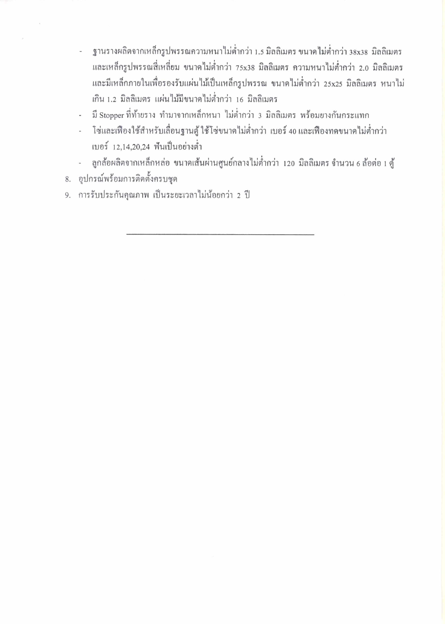- ฐานรางผลิตจากเหล็กรูปพรรณความหนาไม่ต่ำกว่า 1.5 มิลลิเมตร ขนาดไม่ต่ำกว่า 38x38 มิลลิเมตร และเหล็กรูปพรรณสี่เหลี่ยม ขนาดไม่ต่ำกว่า 75x38 มิลลิเมตร ความหนาไม่ต่ำกว่า 2.0 มิลลิเมตร และมีเหล็กภายในเพื่อรองรับแผ่นไม้เป็นเหล็กรูปพรรณ ขนาดไม่ต่ำกว่า 25x25 มิลลิเมตร หนาไม่ ้เกิน 1.2 มิลลิเมตร แผ่นไม้มีขนาดไม่ต่ำกว่า 16 มิลลิเมตร
- มี Stopper ที่ท้ายราง ทำมาจากเหล็กหนา ไม่ต่ำกว่า 3 มิลลิเมตร พร้อมยางกันกระแทก  $\overline{a}$
- โซ่และเฟืองใช้สำหรับเลื่อนฐานตู้ ใช้โซ่ขนาดไม่ต่ำกว่า เบอร์ 40 และเฟืองทคขนาดไม่ต่ำกว่า เบอร์ 12,14,20,24 พื้นเป็นอย่างต่ำ
- ลูกล้อผลิตจากเหล็กหล่อ ขนาดเส้นผ่านศูนย์กลางไม่ต่ำกว่า 120 มิลลิเมตร จำนวน 6 ล้อต่อ 1 ตู้  $\blacksquare$
- 8. อปกรณ์พร้อมการติดตั้งครบชด
- 9. การรับประกันคุณภาพ เป็นระยะเวลาไม่น้อยกว่า 2 ปี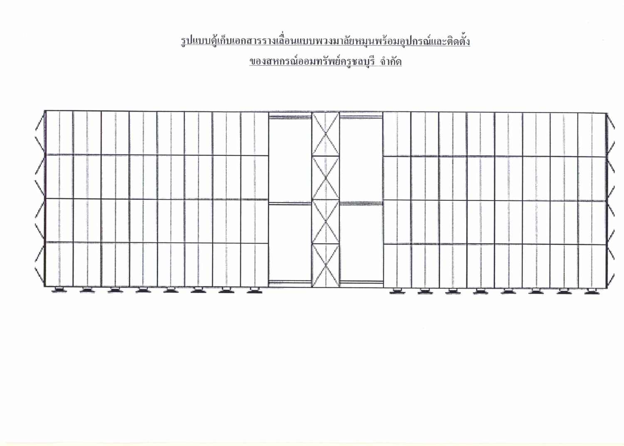<u>รูปแบบตู้เก็บเอกสารรางเลื่อนแบบพวงมาลัยหมุนพร้อมอุปกรณ์และติดตั้ง</u> <u>ของสหกรณ์ออมทรัพย์ครูชลบุรี จำกัด</u>